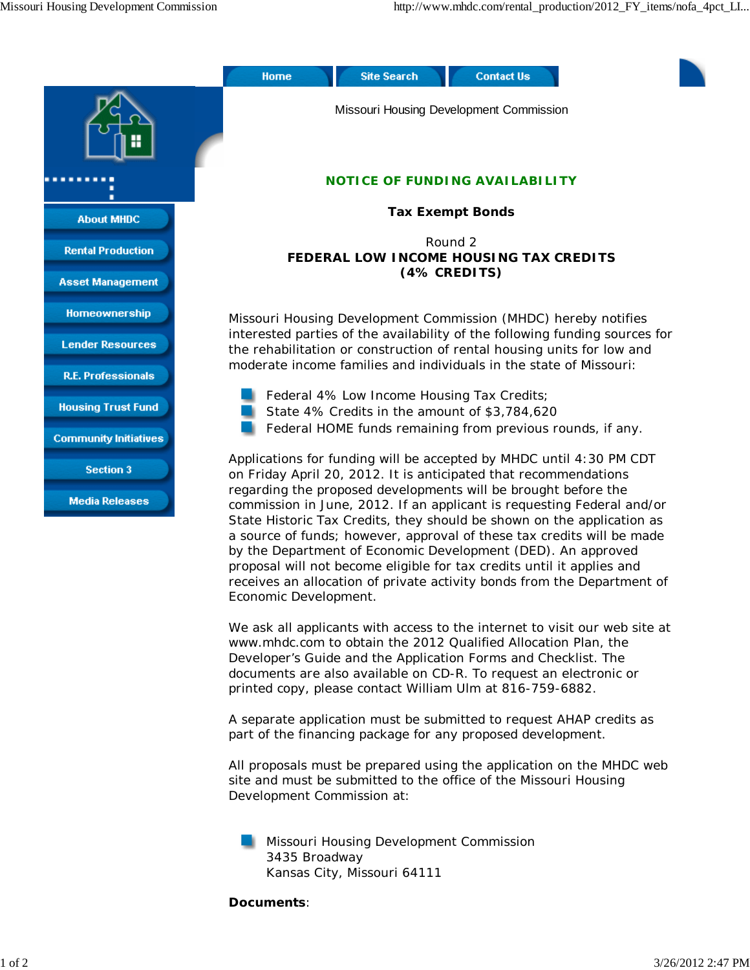

We ask all applicants with access to the internet to visit our web site at www.mhdc.com to obtain the 2012 Qualified Allocation Plan, the Developer's Guide and the Application Forms and Checklist. The documents are also available on CD-R. To request an electronic or printed copy, please contact William Ulm at 816-759-6882.

A separate application must be submitted to request AHAP credits as part of the financing package for any proposed development.

All proposals must be prepared using the application on the MHDC web site and must be submitted to the office of the Missouri Housing Development Commission at:

Missouri Housing Development Commission 3435 Broadway Kansas City, Missouri 64111

## **Documents**:

Economic Development.